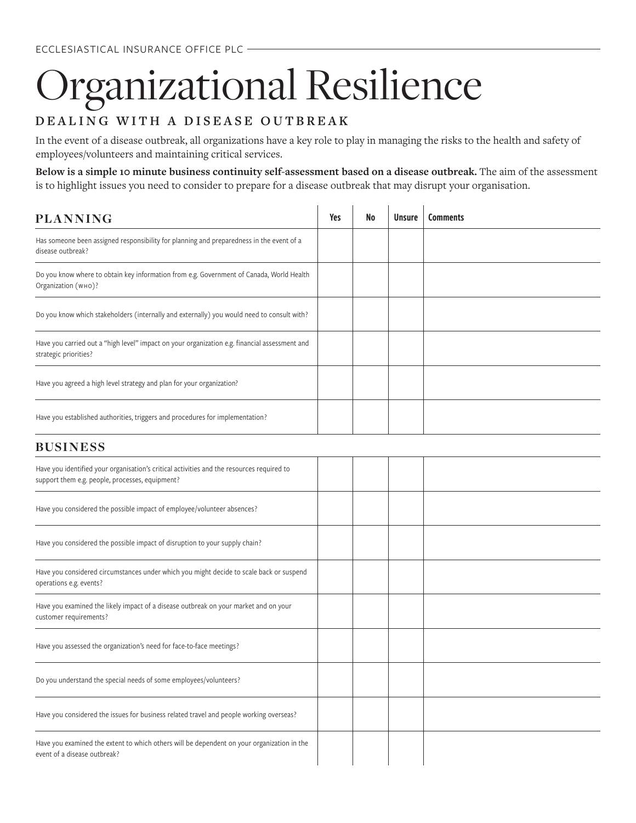## rganizational Resilience

## **DEALING WITH A DISEASE OUTBREAK**

In the event of a disease outbreak, all organizations have a key role to play in managing the risks to the health and safety of employees/volunteers and maintaining critical services.

**Below is a simple 10 minute business continuity self-assessment based on a disease outbreak.** The aim of the assessment is to highlight issues you need to consider to prepare for a disease outbreak that may disrupt your organisation.

 $\mathbf{r}$ 

 $\mathcal{L}$ 

| <b>PLANNING</b>                                                                                                                              | Yes | No | <b>Unsure</b> | <b>Comments</b> |
|----------------------------------------------------------------------------------------------------------------------------------------------|-----|----|---------------|-----------------|
| Has someone been assigned responsibility for planning and preparedness in the event of a<br>disease outbreak?                                |     |    |               |                 |
| Do you know where to obtain key information from e.g. Government of Canada, World Health<br>Organization (wно)?                              |     |    |               |                 |
| Do you know which stakeholders (internally and externally) you would need to consult with?                                                   |     |    |               |                 |
| Have you carried out a "high level" impact on your organization e.g. financial assessment and<br>strategic priorities?                       |     |    |               |                 |
| Have you agreed a high level strategy and plan for your organization?                                                                        |     |    |               |                 |
| Have you established authorities, triggers and procedures for implementation?                                                                |     |    |               |                 |
| <b>BUSINESS</b>                                                                                                                              |     |    |               |                 |
| Have you identified your organisation's critical activities and the resources required to<br>support them e.g. people, processes, equipment? |     |    |               |                 |
| Have you considered the possible impact of employee/volunteer absences?                                                                      |     |    |               |                 |
| Have you considered the possible impact of disruption to your supply chain?                                                                  |     |    |               |                 |
| Have you considered circumstances under which you might decide to scale back or suspend<br>operations e.g. events?                           |     |    |               |                 |
| Have you examined the likely impact of a disease outbreak on your market and on your<br>customer requirements?                               |     |    |               |                 |
| Have you assessed the organization's need for face-to-face meetings?                                                                         |     |    |               |                 |
| Do you understand the special needs of some employees/volunteers?                                                                            |     |    |               |                 |
| Have you considered the issues for business related travel and people working overseas?                                                      |     |    |               |                 |
| Have you examined the extent to which others will be dependent on your organization in the<br>event of a disease outbreak?                   |     |    |               |                 |